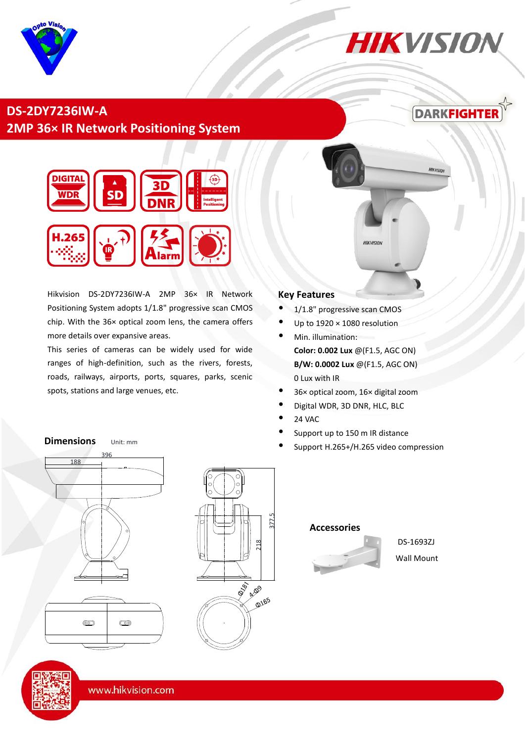

## **HIKVISION**

### **2MP 36× IR Network Positioning System DS-2DY7236IW-A**



HIKVISIO



Hikvision DS-2DY7236IW-A 2MP 36× IR Network Positioning System adopts 1/1.8" progressive scan CMOS chip. With the 36× optical zoom lens, the camera offers more details over expansive areas.

This series of cameras can be widely used for wide ranges of high-definition, such as the rivers, forests, roads, railways, airports, ports, squares, parks, scenic spots, stations and large venues, etc.

#### **Key Features**

1/1.8" progressive scan CMOS

**HIKVISION** 

- Up to  $1920 \times 1080$  resolution
- $\bullet$ Min. illumination: **Color: 0.002 Lux** @(F1.5, AGC ON) **B/W: 0.0002 Lux** @(F1.5, AGC ON) 0 Lux with IR
- $\bullet$ 36× optical zoom, 16× digital zoom
- $\bullet$ Digital WDR, 3D DNR, HLC, BLC
- $\bullet$ 24 VAC
- $\bullet$ Support up to 150 m IR distance
- $\bullet$ Support H.265+/H.265 video compression

# 396 188 O  $\circledcirc$

Unit: mm

**Dimensions** 



#### **Accessories**



DS-1693ZJ Wall Mount

www.hikvision.com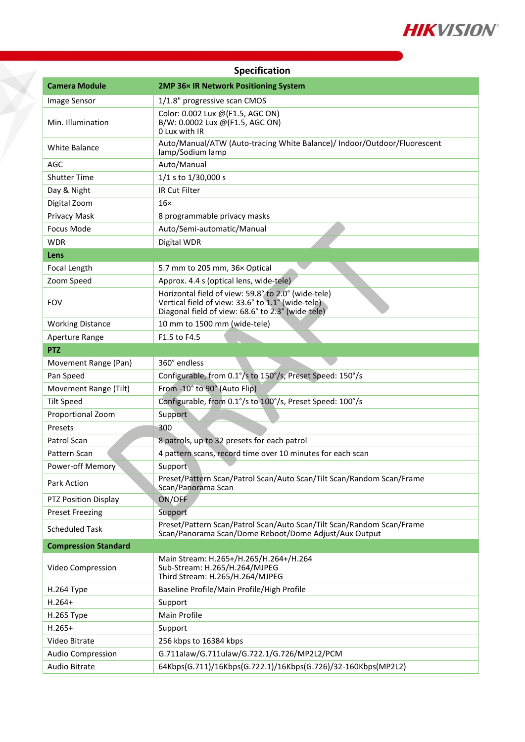

| Specification               |                                                                                                                                                               |  |
|-----------------------------|---------------------------------------------------------------------------------------------------------------------------------------------------------------|--|
| <b>Camera Module</b>        | 2MP 36x IR Network Positioning System                                                                                                                         |  |
| Image Sensor                | 1/1.8" progressive scan CMOS                                                                                                                                  |  |
| Min. Illumination           | Color: 0.002 Lux @(F1.5, AGC ON)<br>B/W: 0.0002 Lux @(F1.5, AGC ON)<br>0 Lux with IR                                                                          |  |
| <b>White Balance</b>        | Auto/Manual/ATW (Auto-tracing White Balance)/ Indoor/Outdoor/Fluorescent<br>lamp/Sodium lamp                                                                  |  |
| AGC                         | Auto/Manual                                                                                                                                                   |  |
| <b>Shutter Time</b>         | $1/1$ s to $1/30,000$ s                                                                                                                                       |  |
| Day & Night                 | <b>IR Cut Filter</b>                                                                                                                                          |  |
| Digital Zoom                | $16\times$                                                                                                                                                    |  |
| Privacy Mask                | 8 programmable privacy masks                                                                                                                                  |  |
| <b>Focus Mode</b>           | Auto/Semi-automatic/Manual                                                                                                                                    |  |
| <b>WDR</b>                  | Digital WDR                                                                                                                                                   |  |
| Lens                        |                                                                                                                                                               |  |
| Focal Length                | 5.7 mm to 205 mm, 36× Optical                                                                                                                                 |  |
| Zoom Speed                  | Approx. 4.4 s (optical lens, wide-tele)                                                                                                                       |  |
| <b>FOV</b>                  | Horizontal field of view: 59.8° to 2.0° (wide-tele)<br>Vertical field of view: 33.6° to 1.1° (wide-tele)<br>Diagonal field of view: 68.6° to 2.3° (wide-tele) |  |
| <b>Working Distance</b>     | 10 mm to 1500 mm (wide-tele)                                                                                                                                  |  |
| Aperture Range              | F1.5 to F4.5                                                                                                                                                  |  |
| <b>PTZ</b>                  |                                                                                                                                                               |  |
| Movement Range (Pan)        | 360° endless                                                                                                                                                  |  |
| Pan Speed                   | Configurable, from 0.1°/s to 150°/s, Preset Speed: 150°/s                                                                                                     |  |
| Movement Range (Tilt)       | From -10° to 90° (Auto Flip)                                                                                                                                  |  |
| <b>Tilt Speed</b>           | Configurable, from 0.1°/s to 100°/s, Preset Speed: 100°/s                                                                                                     |  |
| Proportional Zoom           | Support                                                                                                                                                       |  |
| Presets                     | 300                                                                                                                                                           |  |
| Patrol Scan                 | 8 patrols, up to 32 presets for each patrol                                                                                                                   |  |
| Pattern Scan                | 4 pattern scans, record time over 10 minutes for each scan                                                                                                    |  |
| Power-off Memory            | Support                                                                                                                                                       |  |
| Park Action                 | Preset/Pattern Scan/Patrol Scan/Auto Scan/Tilt Scan/Random Scan/Frame<br>Scan/Panorama Scan                                                                   |  |
| PTZ Position Display        | ON/OFF                                                                                                                                                        |  |
| <b>Preset Freezing</b>      | Support                                                                                                                                                       |  |
| <b>Scheduled Task</b>       | Preset/Pattern Scan/Patrol Scan/Auto Scan/Tilt Scan/Random Scan/Frame<br>Scan/Panorama Scan/Dome Reboot/Dome Adjust/Aux Output                                |  |
| <b>Compression Standard</b> |                                                                                                                                                               |  |
| Video Compression           | Main Stream: H.265+/H.265/H.264+/H.264<br>Sub-Stream: H.265/H.264/MJPEG<br>Third Stream: H.265/H.264/MJPEG                                                    |  |
| H.264 Type                  | Baseline Profile/Main Profile/High Profile                                                                                                                    |  |
| $H.264+$                    | Support                                                                                                                                                       |  |
| H.265 Type                  | Main Profile                                                                                                                                                  |  |
| $H.265+$                    | Support                                                                                                                                                       |  |
| Video Bitrate               | 256 kbps to 16384 kbps                                                                                                                                        |  |
| Audio Compression           | G.711alaw/G.711ulaw/G.722.1/G.726/MP2L2/PCM                                                                                                                   |  |
| Audio Bitrate               | 64Kbps(G.711)/16Kbps(G.722.1)/16Kbps(G.726)/32-160Kbps(MP2L2)                                                                                                 |  |
|                             |                                                                                                                                                               |  |